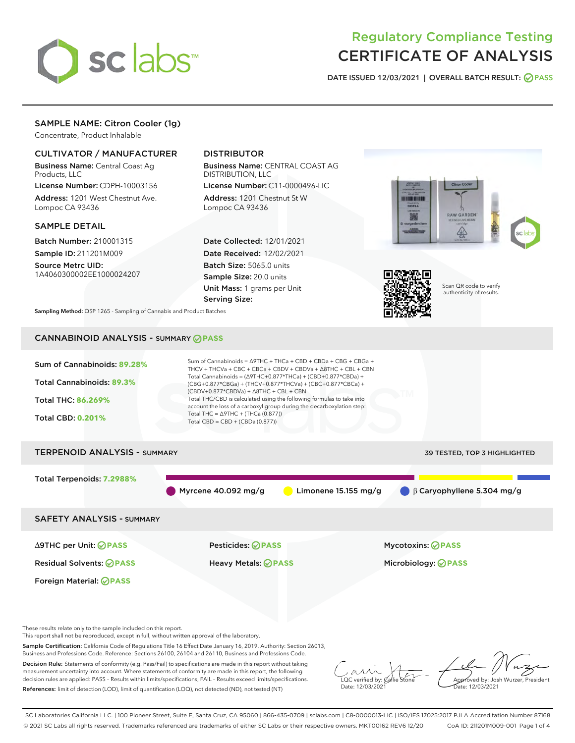

# Regulatory Compliance Testing CERTIFICATE OF ANALYSIS

DATE ISSUED 12/03/2021 | OVERALL BATCH RESULT: @ PASS

## SAMPLE NAME: Citron Cooler (1g)

Concentrate, Product Inhalable

## CULTIVATOR / MANUFACTURER

Business Name: Central Coast Ag Products, LLC

License Number: CDPH-10003156 Address: 1201 West Chestnut Ave. Lompoc CA 93436

#### SAMPLE DETAIL

Batch Number: 210001315 Sample ID: 211201M009

Source Metrc UID: 1A4060300002EE1000024207

## DISTRIBUTOR

Business Name: CENTRAL COAST AG DISTRIBUTION, LLC

License Number: C11-0000496-LIC Address: 1201 Chestnut St W Lompoc CA 93436

Date Collected: 12/01/2021 Date Received: 12/02/2021 Batch Size: 5065.0 units Sample Size: 20.0 units Unit Mass: 1 grams per Unit Serving Size:





Scan QR code to verify authenticity of results.

Sampling Method: QSP 1265 - Sampling of Cannabis and Product Batches

# CANNABINOID ANALYSIS - SUMMARY **PASS**



This report shall not be reproduced, except in full, without written approval of the laboratory.

Sample Certification: California Code of Regulations Title 16 Effect Date January 16, 2019. Authority: Section 26013, Business and Professions Code. Reference: Sections 26100, 26104 and 26110, Business and Professions Code.

Decision Rule: Statements of conformity (e.g. Pass/Fail) to specifications are made in this report without taking measurement uncertainty into account. Where statements of conformity are made in this report, the following decision rules are applied: PASS – Results within limits/specifications, FAIL – Results exceed limits/specifications. References: limit of detection (LOD), limit of quantification (LOQ), not detected (ND), not tested (NT)

 $\overline{\text{C}}$  verified by:  $\mathcal C$ Date: 12/03/2021

Approved by: Josh Wurzer, President ate: 12/03/2021

SC Laboratories California LLC. | 100 Pioneer Street, Suite E, Santa Cruz, CA 95060 | 866-435-0709 | sclabs.com | C8-0000013-LIC | ISO/IES 17025:2017 PJLA Accreditation Number 87168 © 2021 SC Labs all rights reserved. Trademarks referenced are trademarks of either SC Labs or their respective owners. MKT00162 REV6 12/20 CoA ID: 211201M009-001 Page 1 of 4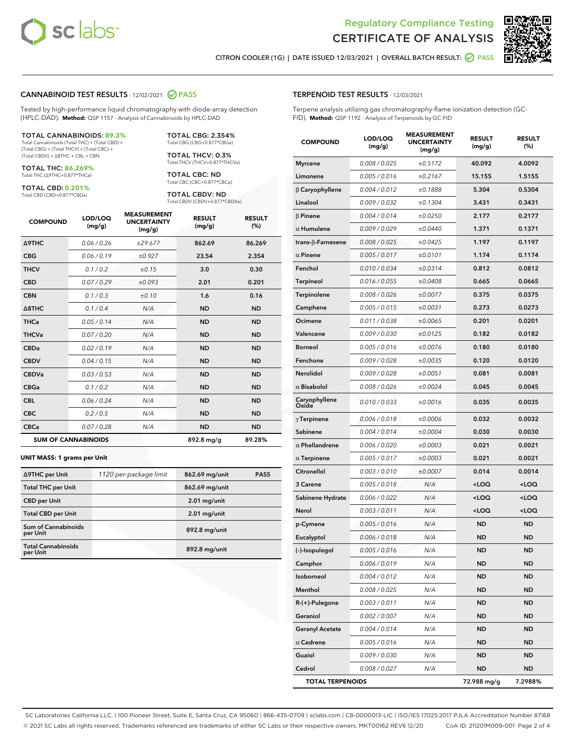



CITRON COOLER (1G) | DATE ISSUED 12/03/2021 | OVERALL BATCH RESULT:  $\bigcirc$  PASS

#### CANNABINOID TEST RESULTS - 12/02/2021 2 PASS

Tested by high-performance liquid chromatography with diode-array detection (HPLC-DAD). **Method:** QSP 1157 - Analysis of Cannabinoids by HPLC-DAD

#### TOTAL CANNABINOIDS: **89.3%**

Total Cannabinoids (Total THC) + (Total CBD) + (Total CBG) + (Total THCV) + (Total CBC) + (Total CBDV) + ∆8THC + CBL + CBN

TOTAL THC: **86.269%** Total THC (∆9THC+0.877\*THCa)

TOTAL CBD: **0.201%**

Total CBD (CBD+0.877\*CBDa)

TOTAL CBG: 2.354% Total CBG (CBG+0.877\*CBGa)

TOTAL THCV: 0.3% Total THCV (THCV+0.877\*THCVa)

TOTAL CBC: ND Total CBC (CBC+0.877\*CBCa)

TOTAL CBDV: ND Total CBDV (CBDV+0.877\*CBDVa)

| <b>COMPOUND</b>            | LOD/LOQ<br>(mg/g) | <b>MEASUREMENT</b><br><b>UNCERTAINTY</b><br>(mg/g) | <b>RESULT</b><br>(mg/g) | <b>RESULT</b><br>(%) |
|----------------------------|-------------------|----------------------------------------------------|-------------------------|----------------------|
| <b>A9THC</b>               | 0.06/0.26         | ±29.677                                            | 862.69                  | 86.269               |
| <b>CBG</b>                 | 0.06/0.19         | ±0.927                                             | 23.54                   | 2.354                |
| <b>THCV</b>                | 0.1/0.2           | ±0.15                                              | 3.0                     | 0.30                 |
| <b>CBD</b>                 | 0.07/0.29         | ±0.093                                             | 2.01                    | 0.201                |
| <b>CBN</b>                 | 0.1 / 0.3         | ±0.10                                              | 1.6                     | 0.16                 |
| $\triangle$ 8THC           | 0.1/0.4           | N/A                                                | <b>ND</b>               | <b>ND</b>            |
| <b>THCa</b>                | 0.05/0.14         | N/A                                                | <b>ND</b>               | <b>ND</b>            |
| <b>THCVa</b>               | 0.07/0.20         | N/A                                                | <b>ND</b>               | <b>ND</b>            |
| <b>CBDa</b>                | 0.02/0.19         | N/A                                                | <b>ND</b>               | <b>ND</b>            |
| <b>CBDV</b>                | 0.04/0.15         | N/A                                                | <b>ND</b>               | <b>ND</b>            |
| <b>CBDVa</b>               | 0.03 / 0.53       | N/A                                                | <b>ND</b>               | <b>ND</b>            |
| <b>CBGa</b>                | 0.1/0.2           | N/A                                                | <b>ND</b>               | <b>ND</b>            |
| <b>CBL</b>                 | 0.06 / 0.24       | N/A                                                | <b>ND</b>               | <b>ND</b>            |
| <b>CBC</b>                 | 0.2 / 0.5         | N/A                                                | <b>ND</b>               | <b>ND</b>            |
| <b>CBCa</b>                | 0.07/0.28         | N/A                                                | <b>ND</b>               | <b>ND</b>            |
| <b>SUM OF CANNABINOIDS</b> |                   |                                                    | 892.8 mg/g              | 89.28%               |

#### **UNIT MASS: 1 grams per Unit**

| ∆9THC per Unit                        | 1120 per-package limit | 862.69 mg/unit  | <b>PASS</b> |
|---------------------------------------|------------------------|-----------------|-------------|
| <b>Total THC per Unit</b>             |                        | 862.69 mg/unit  |             |
| <b>CBD per Unit</b>                   |                        | $2.01$ mg/unit  |             |
| <b>Total CBD per Unit</b>             |                        | $2.01$ mg/unit  |             |
| Sum of Cannabinoids<br>per Unit       |                        | 892.8 mg/unit   |             |
| <b>Total Cannabinoids</b><br>per Unit |                        | $892.8$ mg/unit |             |

| <b>COMPOUND</b>        | LOD/LOQ<br>(mg/g) | <b>MEASUREMENT</b><br><b>UNCERTAINTY</b><br>(mg/g) | <b>RESULT</b><br>(mg/g)                         | <b>RESULT</b><br>(%) |
|------------------------|-------------------|----------------------------------------------------|-------------------------------------------------|----------------------|
| <b>Myrcene</b>         | 0.008 / 0.025     | ±0.5172                                            | 40.092                                          | 4.0092               |
| Limonene               | 0.005 / 0.016     | ±0.2167                                            | 15.155                                          | 1.5155               |
| $\beta$ Caryophyllene  | 0.004 / 0.012     | ±0.1888                                            | 5.304                                           | 0.5304               |
| Linalool               | 0.009 / 0.032     | ±0.1304                                            | 3.431                                           | 0.3431               |
| <b>β Pinene</b>        | 0.004 / 0.014     | ±0.0250                                            | 2.177                                           | 0.2177               |
| $\alpha$ Humulene      | 0.009/0.029       | ±0.0440                                            | 1.371                                           | 0.1371               |
| trans-β-Farnesene      | 0.008 / 0.025     | ±0.0425                                            | 1.197                                           | 0.1197               |
| $\alpha$ Pinene        | 0.005 / 0.017     | ±0.0101                                            | 1.174                                           | 0.1174               |
| Fenchol                | 0.010 / 0.034     | ±0.0314                                            | 0.812                                           | 0.0812               |
| Terpineol              | 0.016 / 0.055     | ±0.0408                                            | 0.665                                           | 0.0665               |
| Terpinolene            | 0.008 / 0.026     | ±0.0077                                            | 0.375                                           | 0.0375               |
| Camphene               | 0.005 / 0.015     | ±0.0031                                            | 0.273                                           | 0.0273               |
| Ocimene                | 0.011 / 0.038     | ±0.0065                                            | 0.201                                           | 0.0201               |
| Valencene              | 0.009 / 0.030     | ±0.0125                                            | 0.182                                           | 0.0182               |
| <b>Borneol</b>         | 0.005 / 0.016     | ±0.0076                                            | 0.180                                           | 0.0180               |
| Fenchone               | 0.009 / 0.028     | ±0.0035                                            | 0.120                                           | 0.0120               |
| <b>Nerolidol</b>       | 0.009/0.028       | ±0.0051                                            | 0.081                                           | 0.0081               |
| $\alpha$ Bisabolol     | 0.008 / 0.026     | ±0.0024                                            | 0.045                                           | 0.0045               |
| Caryophyllene<br>Oxide | 0.010 / 0.033     | ±0.0016                                            | 0.035                                           | 0.0035               |
| $\gamma$ Terpinene     | 0.006 / 0.018     | ±0.0006                                            | 0.032                                           | 0.0032               |
| Sabinene               | 0.004 / 0.014     | ±0.0004                                            | 0.030                                           | 0.0030               |
| $\alpha$ Phellandrene  | 0.006 / 0.020     | ±0.0003                                            | 0.021                                           | 0.0021               |
| $\alpha$ Terpinene     | 0.005 / 0.017     | ±0.0003                                            | 0.021                                           | 0.0021               |
| Citronellol            | 0.003 / 0.010     | ±0.0007                                            | 0.014                                           | 0.0014               |
| 3 Carene               | 0.005 / 0.018     | N/A                                                | <loq< th=""><th><loq< th=""></loq<></th></loq<> | <loq< th=""></loq<>  |
| Sabinene Hydrate       | 0.006 / 0.022     | N/A                                                | <loq< th=""><th><loq< th=""></loq<></th></loq<> | <loq< th=""></loq<>  |
| Nerol                  | 0.003 / 0.011     | N/A                                                | <loq< th=""><th><loq< th=""></loq<></th></loq<> | <loq< th=""></loq<>  |
| p-Cymene               | 0.005 / 0.016     | N/A                                                | <b>ND</b>                                       | <b>ND</b>            |
| Eucalyptol             | 0.006 / 0.018     | N/A                                                | ND                                              | <b>ND</b>            |
| (-)-Isopulegol         | 0.005 / 0.016     | N/A                                                | <b>ND</b>                                       | ND                   |
| Camphor                | 0.006 / 0.019     | N/A                                                | ND                                              | ND                   |
| Isoborneol             | 0.004 / 0.012     | N/A                                                | ND                                              | ND                   |
| Menthol                | 0.008 / 0.025     | N/A                                                | ND                                              | ND                   |
| R-(+)-Pulegone         | 0.003 / 0.011     | N/A                                                | ND                                              | <b>ND</b>            |
| Geraniol               | 0.002 / 0.007     | N/A                                                | ND                                              | ND                   |
| <b>Geranyl Acetate</b> | 0.004 / 0.014     | N/A                                                | ND                                              | ND                   |
| $\alpha$ Cedrene       | 0.005 / 0.016     | N/A                                                | ND                                              | ND                   |
| Guaiol                 | 0.009 / 0.030     | N/A                                                | ND                                              | ND                   |
| Cedrol                 | 0.008 / 0.027     | N/A                                                | <b>ND</b>                                       | <b>ND</b>            |

TOTAL TERPENOIDS 72.988 mg/g 7.2988%

TERPENOID TEST RESULTS - 12/03/2021

Terpene analysis utilizing gas chromatography-flame ionization detection (GC-FID). **Method:** QSP 1192 - Analysis of Terpenoids by GC-FID

SC Laboratories California LLC. | 100 Pioneer Street, Suite E, Santa Cruz, CA 95060 | 866-435-0709 | sclabs.com | C8-0000013-LIC | ISO/IES 17025:2017 PJLA Accreditation Number 87168 © 2021 SC Labs all rights reserved. Trademarks referenced are trademarks of either SC Labs or their respective owners. MKT00162 REV6 12/20 CoA ID: 211201M009-001 Page 2 of 4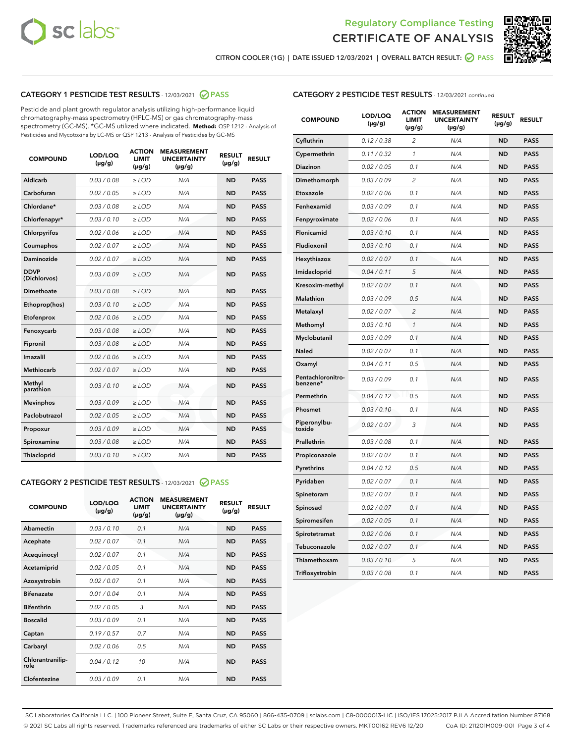



CITRON COOLER (1G) | DATE ISSUED 12/03/2021 | OVERALL BATCH RESULT: @ PASS

### CATEGORY 1 PESTICIDE TEST RESULTS - 12/03/2021 2 PASS

Pesticide and plant growth regulator analysis utilizing high-performance liquid chromatography-mass spectrometry (HPLC-MS) or gas chromatography-mass spectrometry (GC-MS). \*GC-MS utilized where indicated. **Method:** QSP 1212 - Analysis of Pesticides and Mycotoxins by LC-MS or QSP 1213 - Analysis of Pesticides by GC-MS

| <b>COMPOUND</b>             | LOD/LOQ<br>$(\mu g/g)$ | <b>ACTION</b><br><b>LIMIT</b><br>$(\mu g/g)$ | <b>MEASUREMENT</b><br><b>UNCERTAINTY</b><br>$(\mu g/g)$ | <b>RESULT</b><br>$(\mu g/g)$ | <b>RESULT</b> |
|-----------------------------|------------------------|----------------------------------------------|---------------------------------------------------------|------------------------------|---------------|
| Aldicarb                    | 0.03 / 0.08            | $\ge$ LOD                                    | N/A                                                     | <b>ND</b>                    | <b>PASS</b>   |
| Carbofuran                  | 0.02 / 0.05            | $\ge$ LOD                                    | N/A                                                     | <b>ND</b>                    | <b>PASS</b>   |
| Chlordane*                  | 0.03 / 0.08            | $\ge$ LOD                                    | N/A                                                     | <b>ND</b>                    | <b>PASS</b>   |
| Chlorfenapyr*               | 0.03/0.10              | $\ge$ LOD                                    | N/A                                                     | <b>ND</b>                    | <b>PASS</b>   |
| Chlorpyrifos                | 0.02 / 0.06            | $\ge$ LOD                                    | N/A                                                     | <b>ND</b>                    | <b>PASS</b>   |
| Coumaphos                   | 0.02 / 0.07            | $\ge$ LOD                                    | N/A                                                     | <b>ND</b>                    | <b>PASS</b>   |
| Daminozide                  | 0.02 / 0.07            | $\ge$ LOD                                    | N/A                                                     | <b>ND</b>                    | <b>PASS</b>   |
| <b>DDVP</b><br>(Dichlorvos) | 0.03/0.09              | $>$ LOD                                      | N/A                                                     | <b>ND</b>                    | <b>PASS</b>   |
| Dimethoate                  | 0.03 / 0.08            | $\ge$ LOD                                    | N/A                                                     | <b>ND</b>                    | <b>PASS</b>   |
| Ethoprop(hos)               | 0.03/0.10              | $>$ LOD                                      | N/A                                                     | <b>ND</b>                    | <b>PASS</b>   |
| Etofenprox                  | 0.02 / 0.06            | $\ge$ LOD                                    | N/A                                                     | <b>ND</b>                    | <b>PASS</b>   |
| Fenoxycarb                  | 0.03 / 0.08            | $\ge$ LOD                                    | N/A                                                     | <b>ND</b>                    | <b>PASS</b>   |
| Fipronil                    | 0.03/0.08              | $\ge$ LOD                                    | N/A                                                     | <b>ND</b>                    | <b>PASS</b>   |
| Imazalil                    | 0.02 / 0.06            | $\geq$ LOD                                   | N/A                                                     | <b>ND</b>                    | <b>PASS</b>   |
| <b>Methiocarb</b>           | 0.02 / 0.07            | $\ge$ LOD                                    | N/A                                                     | <b>ND</b>                    | <b>PASS</b>   |
| Methyl<br>parathion         | 0.03/0.10              | $\ge$ LOD                                    | N/A                                                     | <b>ND</b>                    | <b>PASS</b>   |
| <b>Mevinphos</b>            | 0.03/0.09              | $\ge$ LOD                                    | N/A                                                     | <b>ND</b>                    | <b>PASS</b>   |
| Paclobutrazol               | 0.02 / 0.05            | $>$ LOD                                      | N/A                                                     | <b>ND</b>                    | <b>PASS</b>   |
| Propoxur                    | 0.03 / 0.09            | $\ge$ LOD                                    | N/A                                                     | <b>ND</b>                    | <b>PASS</b>   |
| Spiroxamine                 | 0.03 / 0.08            | $\ge$ LOD                                    | N/A                                                     | <b>ND</b>                    | <b>PASS</b>   |
| Thiacloprid                 | 0.03/0.10              | $\ge$ LOD                                    | N/A                                                     | <b>ND</b>                    | <b>PASS</b>   |

#### CATEGORY 2 PESTICIDE TEST RESULTS - 12/03/2021 @ PASS

| <b>COMPOUND</b>          | LOD/LOQ<br>$(\mu g/g)$ | <b>ACTION</b><br><b>LIMIT</b><br>$(\mu g/g)$ | <b>MEASUREMENT</b><br><b>UNCERTAINTY</b><br>$(\mu g/g)$ | <b>RESULT</b><br>$(\mu g/g)$ | <b>RESULT</b> |
|--------------------------|------------------------|----------------------------------------------|---------------------------------------------------------|------------------------------|---------------|
| Abamectin                | 0.03/0.10              | 0.1                                          | N/A                                                     | <b>ND</b>                    | <b>PASS</b>   |
| Acephate                 | 0.02/0.07              | 0.1                                          | N/A                                                     | <b>ND</b>                    | <b>PASS</b>   |
| Acequinocyl              | 0.02/0.07              | 0.1                                          | N/A                                                     | <b>ND</b>                    | <b>PASS</b>   |
| Acetamiprid              | 0.02/0.05              | 0.1                                          | N/A                                                     | <b>ND</b>                    | <b>PASS</b>   |
| Azoxystrobin             | 0.02/0.07              | 0.1                                          | N/A                                                     | <b>ND</b>                    | <b>PASS</b>   |
| <b>Bifenazate</b>        | 0.01/0.04              | 0.1                                          | N/A                                                     | <b>ND</b>                    | <b>PASS</b>   |
| <b>Bifenthrin</b>        | 0.02 / 0.05            | 3                                            | N/A                                                     | <b>ND</b>                    | <b>PASS</b>   |
| <b>Boscalid</b>          | 0.03/0.09              | 0.1                                          | N/A                                                     | <b>ND</b>                    | <b>PASS</b>   |
| Captan                   | 0.19/0.57              | 0.7                                          | N/A                                                     | <b>ND</b>                    | <b>PASS</b>   |
| Carbaryl                 | 0.02/0.06              | 0.5                                          | N/A                                                     | <b>ND</b>                    | <b>PASS</b>   |
| Chlorantranilip-<br>role | 0.04/0.12              | 10                                           | N/A                                                     | <b>ND</b>                    | <b>PASS</b>   |
| Clofentezine             | 0.03/0.09              | 0.1                                          | N/A                                                     | <b>ND</b>                    | <b>PASS</b>   |

| <b>COMPOUND</b>               | LOD/LOQ<br>(µg/g) | <b>ACTION</b><br>LIMIT<br>(µg/g) | <b>MEASUREMENT</b><br><b>UNCERTAINTY</b><br>(µg/g) | <b>RESULT</b><br>(µg/g) | <b>RESULT</b> |
|-------------------------------|-------------------|----------------------------------|----------------------------------------------------|-------------------------|---------------|
| Cyfluthrin                    | 0.12 / 0.38       | $\overline{c}$                   | N/A                                                | <b>ND</b>               | <b>PASS</b>   |
| Cypermethrin                  | 0.11/0.32         | 1                                | N/A                                                | <b>ND</b>               | <b>PASS</b>   |
| Diazinon                      | 0.02 / 0.05       | 0.1                              | N/A                                                | <b>ND</b>               | <b>PASS</b>   |
| Dimethomorph                  | 0.03 / 0.09       | 2                                | N/A                                                | <b>ND</b>               | <b>PASS</b>   |
| Etoxazole                     | 0.02 / 0.06       | 0.1                              | N/A                                                | <b>ND</b>               | <b>PASS</b>   |
| Fenhexamid                    | 0.03 / 0.09       | 0.1                              | N/A                                                | <b>ND</b>               | <b>PASS</b>   |
| Fenpyroximate                 | 0.02 / 0.06       | 0.1                              | N/A                                                | <b>ND</b>               | <b>PASS</b>   |
| Flonicamid                    | 0.03 / 0.10       | 0.1                              | N/A                                                | <b>ND</b>               | <b>PASS</b>   |
| Fludioxonil                   | 0.03 / 0.10       | 0.1                              | N/A                                                | <b>ND</b>               | <b>PASS</b>   |
| Hexythiazox                   | 0.02 / 0.07       | 0.1                              | N/A                                                | <b>ND</b>               | <b>PASS</b>   |
| Imidacloprid                  | 0.04 / 0.11       | 5                                | N/A                                                | <b>ND</b>               | <b>PASS</b>   |
| Kresoxim-methyl               | 0.02 / 0.07       | 0.1                              | N/A                                                | <b>ND</b>               | <b>PASS</b>   |
| Malathion                     | 0.03 / 0.09       | 0.5                              | N/A                                                | <b>ND</b>               | <b>PASS</b>   |
| Metalaxyl                     | 0.02 / 0.07       | 2                                | N/A                                                | <b>ND</b>               | <b>PASS</b>   |
| Methomyl                      | 0.03 / 0.10       | $\mathcal{I}$                    | N/A                                                | <b>ND</b>               | <b>PASS</b>   |
| Myclobutanil                  | 0.03 / 0.09       | 0.1                              | N/A                                                | <b>ND</b>               | <b>PASS</b>   |
| Naled                         | 0.02 / 0.07       | 0.1                              | N/A                                                | <b>ND</b>               | <b>PASS</b>   |
| Oxamyl                        | 0.04 / 0.11       | 0.5                              | N/A                                                | <b>ND</b>               | <b>PASS</b>   |
| Pentachloronitro-<br>benzene* | 0.03 / 0.09       | 0.1                              | N/A                                                | <b>ND</b>               | <b>PASS</b>   |
| Permethrin                    | 0.04/0.12         | 0.5                              | N/A                                                | <b>ND</b>               | <b>PASS</b>   |
| Phosmet                       | 0.03 / 0.10       | 0.1                              | N/A                                                | <b>ND</b>               | <b>PASS</b>   |
| Piperonylbu-<br>toxide        | 0.02 / 0.07       | 3                                | N/A                                                | <b>ND</b>               | <b>PASS</b>   |
| Prallethrin                   | 0.03 / 0.08       | 0.1                              | N/A                                                | <b>ND</b>               | <b>PASS</b>   |
| Propiconazole                 | 0.02 / 0.07       | 0.1                              | N/A                                                | <b>ND</b>               | <b>PASS</b>   |
| Pyrethrins                    | 0.04 / 0.12       | 0.5                              | N/A                                                | <b>ND</b>               | <b>PASS</b>   |
| Pyridaben                     | 0.02 / 0.07       | 0.1                              | N/A                                                | <b>ND</b>               | <b>PASS</b>   |
| Spinetoram                    | 0.02 / 0.07       | 0.1                              | N/A                                                | <b>ND</b>               | <b>PASS</b>   |
| Spinosad                      | 0.02 / 0.07       | 0.1                              | N/A                                                | <b>ND</b>               | <b>PASS</b>   |
| Spiromesifen                  | 0.02 / 0.05       | 0.1                              | N/A                                                | <b>ND</b>               | <b>PASS</b>   |
| Spirotetramat                 | 0.02 / 0.06       | 0.1                              | N/A                                                | ND                      | <b>PASS</b>   |
| Tebuconazole                  | 0.02 / 0.07       | 0.1                              | N/A                                                | <b>ND</b>               | <b>PASS</b>   |
| Thiamethoxam                  | 0.03 / 0.10       | 5                                | N/A                                                | <b>ND</b>               | <b>PASS</b>   |
| Trifloxystrobin               | 0.03 / 0.08       | 0.1                              | N/A                                                | <b>ND</b>               | <b>PASS</b>   |

SC Laboratories California LLC. | 100 Pioneer Street, Suite E, Santa Cruz, CA 95060 | 866-435-0709 | sclabs.com | C8-0000013-LIC | ISO/IES 17025:2017 PJLA Accreditation Number 87168 © 2021 SC Labs all rights reserved. Trademarks referenced are trademarks of either SC Labs or their respective owners. MKT00162 REV6 12/20 CoA ID: 211201M009-001 Page 3 of 4